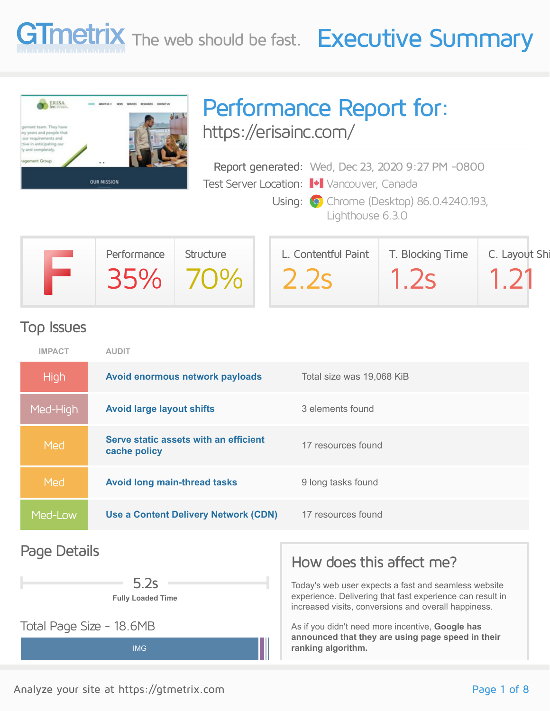



## Performance Report for: <https://erisainc.com/>

Report generated: Wed, Dec 23, 2020 9:27 PM -0800 Test Server Location: Vancouver, Canada

> Using: **O** Chrome (Desktop) 86.0.4240.193, Lighthouse 6.3.0

| Performance | Structure | L. Contentful Paint | T. Blocking Time | C. Layout Shi |
|-------------|-----------|---------------------|------------------|---------------|
|             | 35% 70%   | 22s                 | $\sim$ 25        |               |

#### Top Issues

| <b>IMPACT</b> | <b>AUDIT</b>                                          |                           |
|---------------|-------------------------------------------------------|---------------------------|
| <b>High</b>   | Avoid enormous network payloads                       | Total size was 19,068 KiB |
| Med-High      | <b>Avoid large layout shifts</b>                      | 3 elements found          |
| Med           | Serve static assets with an efficient<br>cache policy | 17 resources found        |
| Med           | <b>Avoid long main-thread tasks</b>                   | 9 long tasks found        |
| Med-Low       | Use a Content Delivery Network (CDN)                  | 17 resources found        |
|               |                                                       |                           |

#### Page Details

**Fully Loaded Time** 5.2s

IMG

Total Page Size - 18.6MB

#### How does this affect me?

Today's web user expects a fast and seamless website experience. Delivering that fast experience can result in increased visits, conversions and overall happiness.

As if you didn't need more incentive, **Google has announced that they are using page speed in their ranking algorithm.**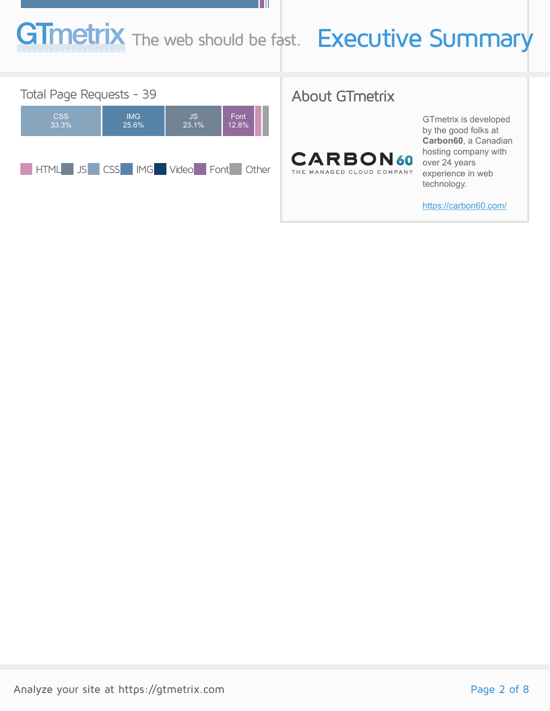# **netrix** The web should be fast. Executive Summary

ш



#### About GTmetrix



GTmetrix is developed by the good folks at **Carbon60**, a Canadian hosting company with over 24 years experience in web technology.

<https://carbon60.com/>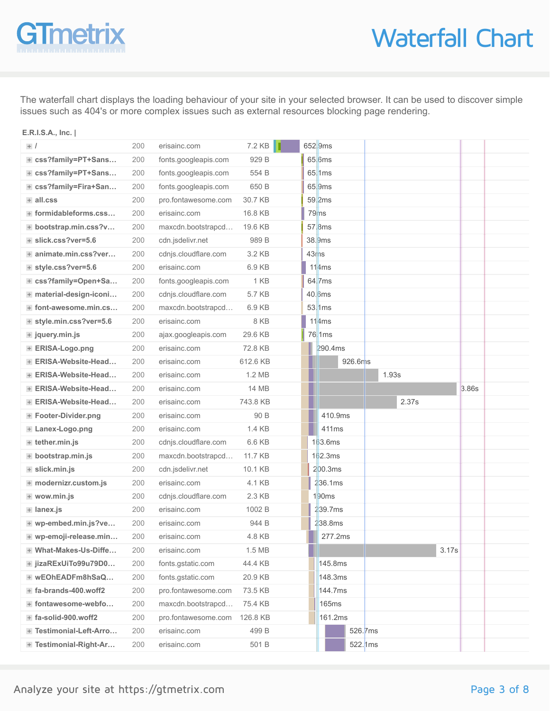# **Tmetr**

**E.R.I.S.A., Inc. |**

**/**

## Waterfall Chart

The waterfall chart displays the loading behaviour of your site in your selected browser. It can be used to discover simple issues such as 404's or more complex issues such as external resources blocking page rendering.

> 652.9ms 65.6ms  $65$  1ms

#### 200 fonts.googleapis.com 929 B 200 fonts.googleapis.com 554 B **css?family=PT+Sans… css?family=PT+Sans… css?family=Fira+San… all.css formidableforms.css… bootstrap.min.css?v… slick.css?ver=5.6 animate.min.css?ver… style.css?ver=5.6 css?family=Open+Sa… material-design-iconi…**

200 erisainc.com 7.2 KB

| Externally=Fira+San         | 200 | fonts.googleapis.com | 650 B        |                  | $65$  9ms            |          |       |  |
|-----------------------------|-----|----------------------|--------------|------------------|----------------------|----------|-------|--|
| $+$ all.css                 | 200 | pro.fontawesome.com  | 30.7 KB      |                  | $59$  2ms            |          |       |  |
| + formidableforms.css       | 200 | erisainc.com         | 16.8 KB      |                  | 79ms                 |          |       |  |
| + bootstrap.min.css?v       | 200 | maxcdn.bootstrapcd   | 19.6 KB      |                  | $57$ <sub>.8ms</sub> |          |       |  |
| + slick.css?ver=5.6         | 200 | cdn.jsdelivr.net     | 989 B        |                  | 38.9ms               |          |       |  |
| + animate.min.css?ver       | 200 | cdnjs.cloudflare.com | 3.2 KB       | 43 <sub>ms</sub> |                      |          |       |  |
| + style.css?ver=5.6         | 200 | erisainc.com         | 6.9 KB       |                  | 114ms                |          |       |  |
| + css?family=Open+Sa        | 200 | fonts.googleapis.com | 1 KB         |                  | $64$  7ms            |          |       |  |
| + material-design-iconi     | 200 | cdnjs.cloudflare.com | 5.7 KB       |                  | 40.6ms               |          |       |  |
| + font-awesome.min.cs       | 200 | maxcdn.bootstrapcd   | 6.9 KB       |                  | $53$ . 1 ms          |          |       |  |
| + style.min.css?ver=5.6     | 200 | erisainc.com         | 8 KB         |                  | 114ms                |          |       |  |
| $+$ jquery.min.js           | 200 | ajax.googleapis.com  | 29.6 KB      |                  | 76 1 <sub>ms</sub>   |          |       |  |
| + ERISA-Logo.png            | 200 | erisainc.com         | 72.8 KB      |                  | 290.4ms              |          |       |  |
| + ERISA-Website-Head        | 200 | erisainc.com         | 612.6 KB     |                  | 926.6ms              |          |       |  |
| + ERISA-Website-Head        | 200 | erisainc.com         | 1.2 MB       |                  |                      | 1.93s    |       |  |
| + ERISA-Website-Head        | 200 | erisainc.com         | <b>14 MB</b> |                  |                      |          | 3.86s |  |
| + ERISA-Website-Head        | 200 | erisainc.com         | 743.8 KB     |                  |                      | 2.37s    |       |  |
| + Footer-Divider.png        | 200 | erisainc.com         | 90 B         |                  | 410.9ms              |          |       |  |
| + Lanex-Logo.png            | 200 | erisainc.com         | 1.4 KB       |                  | 411ms                |          |       |  |
| + tether.min.js             | 200 | cdnjs.cloudflare.com | 6.6 KB       |                  | 163.6ms              |          |       |  |
| + bootstrap.min.js          | 200 | maxcdn.bootstrapcd   | 11.7 KB      |                  | 162.3ms              |          |       |  |
| + slick.min.js              | 200 | cdn.jsdelivr.net     | 10.1 KB      |                  | 200.3ms              |          |       |  |
| + modernizr.custom.js       | 200 | erisainc.com         | 4.1 KB       |                  | 236.1ms              |          |       |  |
| + wow.min.js                | 200 | cdnjs.cloudflare.com | 2.3 KB       |                  | 1 <mark>90ms</mark>  |          |       |  |
| + lanex.js                  | 200 | erisainc.com         | 1002 B       |                  | 239.7ms              |          |       |  |
| + wp-embed.min.js?ve        | 200 | erisainc.com         | 944 B        |                  | 238.8ms              |          |       |  |
| + wp-emoji-release.min      | 200 | erisainc.com         | 4.8 KB       |                  | 277.2ms              |          |       |  |
| + What-Makes-Us-Diffe       | 200 | erisainc.com         | 1.5 MB       |                  |                      |          | 3.17s |  |
| <b>⊞ jizaRExUiTo99u79D0</b> | 200 | fonts.gstatic.com    | 44.4 KB      |                  | 145.8ms              |          |       |  |
| + wEOhEADFm8hSaQ            | 200 | fonts.gstatic.com    | 20.9 KB      |                  | 148.3ms              |          |       |  |
| $+$ fa-brands-400.woff2     | 200 | pro.fontawesome.com  | 73.5 KB      |                  | 144.7ms              |          |       |  |
| + fontawesome-webfo         | 200 | maxcdn.bootstrapcd   | 75.4 KB      |                  | <b>165ms</b>         |          |       |  |
| + fa-solid-900.woff2        | 200 | pro.fontawesome.com  | 126.8 KB     |                  | 161.2ms              |          |       |  |
| + Testimonial-Left-Arro     | 200 | erisainc.com         | 499 B        |                  |                      | 526.7ms  |       |  |
| F Testimonial-Right-Ar      | 200 | erisainc.com         | 501 B        |                  |                      | 522.1 ms |       |  |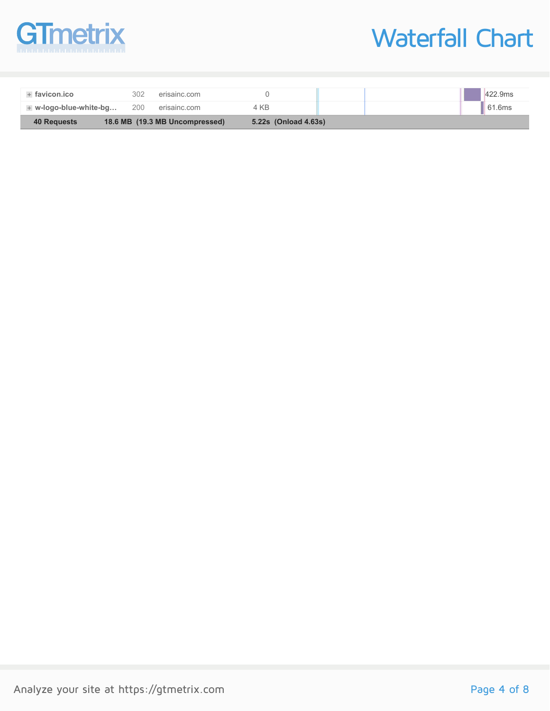

## Waterfall Chart

| + w-logo-blue-white-bg | 200 | erisainc.com                   | 4 KB                 |  | $\parallel$ 61.6ms |
|------------------------|-----|--------------------------------|----------------------|--|--------------------|
| 40 Requests            |     | 18.6 MB (19.3 MB Uncompressed) | 5.22s (Onload 4.63s) |  |                    |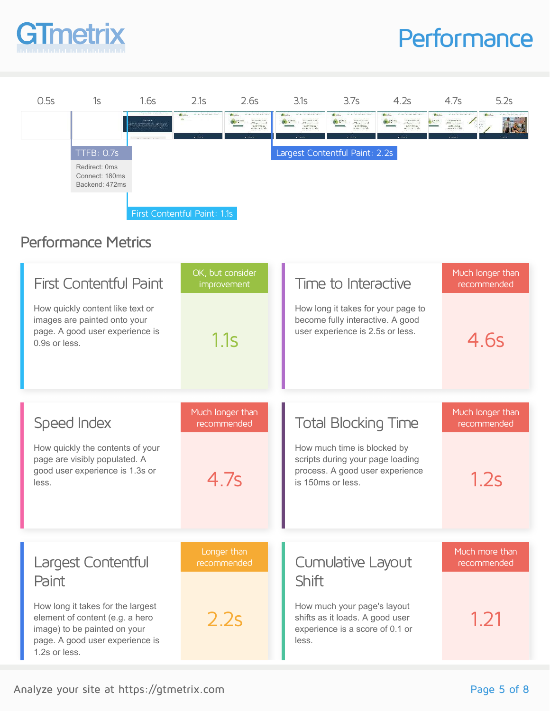

## **Performance**



#### Performance Metrics

| <b>First Contentful Paint</b><br>How quickly content like text or<br>images are painted onto your<br>page. A good user experience is<br>0.9s or less.    | OK, but consider<br><i>improvement</i><br>1.1s | Time to Interactive<br>How long it takes for your page to<br>become fully interactive. A good<br>user experience is 2.5s or less. | Much longer than<br>recommended<br>4.6s |
|----------------------------------------------------------------------------------------------------------------------------------------------------------|------------------------------------------------|-----------------------------------------------------------------------------------------------------------------------------------|-----------------------------------------|
|                                                                                                                                                          |                                                |                                                                                                                                   |                                         |
| Speed Index                                                                                                                                              | Much longer than<br>recommended                | <b>Total Blocking Time</b>                                                                                                        | Much longer than<br>recommended         |
| How quickly the contents of your<br>page are visibly populated. A<br>good user experience is 1.3s or<br>less.                                            | 4.7s                                           | How much time is blocked by<br>scripts during your page loading<br>process. A good user experience<br>is 150ms or less.           | 1.2s                                    |
| Largest Contentful<br>Paint                                                                                                                              | Longer than<br>recommended                     | <b>Cumulative Layout</b><br><b>Shift</b>                                                                                          | Much more than<br>recommended           |
| How long it takes for the largest<br>element of content (e.g. a hero<br>image) to be painted on your<br>page. A good user experience is<br>1.2s or less. | 2.2s                                           | How much your page's layout<br>shifts as it loads. A good user<br>experience is a score of 0.1 or<br>less.                        | 1 21                                    |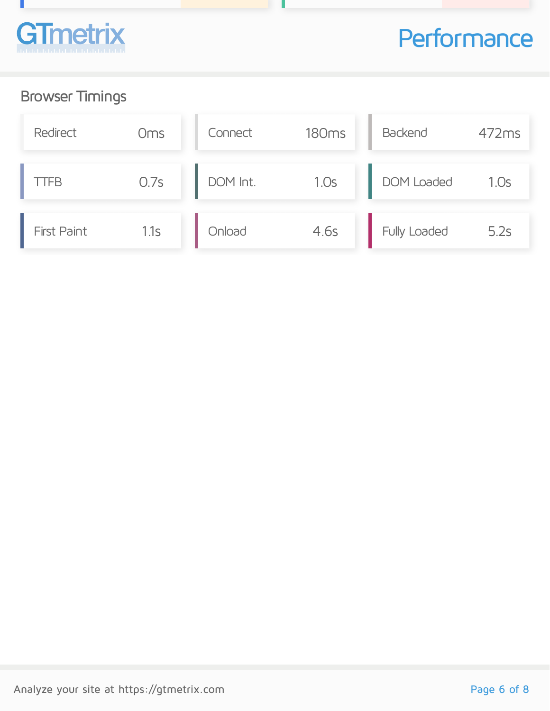

## **Performance**

### Browser Timings

| Redirect           | Oms  | Connect  | <b>180ms</b> | <b>Backend</b>    | 472ms |
|--------------------|------|----------|--------------|-------------------|-------|
| <b>TTFB</b>        | 0.7s | DOM Int. | 1.0s         | <b>DOM Loaded</b> | 1.0s  |
| <b>First Paint</b> | 1.1s | Onload   | 4.6s         | Fully Loaded      | 5.2s  |

u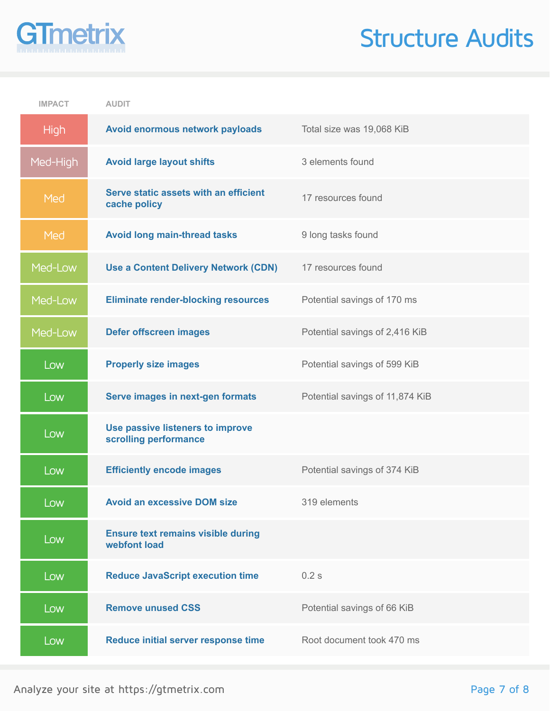# **GTmetrix**

## Structure Audits

| <b>IMPACT</b> | <b>AUDIT</b>                                              |                                 |
|---------------|-----------------------------------------------------------|---------------------------------|
| <b>High</b>   | Avoid enormous network payloads                           | Total size was 19,068 KiB       |
| Med-High      | <b>Avoid large layout shifts</b>                          | 3 elements found                |
| Med           | Serve static assets with an efficient<br>cache policy     | 17 resources found              |
| Med           | <b>Avoid long main-thread tasks</b>                       | 9 long tasks found              |
| Med-Low       | <b>Use a Content Delivery Network (CDN)</b>               | 17 resources found              |
| Med-Low       | <b>Eliminate render-blocking resources</b>                | Potential savings of 170 ms     |
| Med-Low       | <b>Defer offscreen images</b>                             | Potential savings of 2,416 KiB  |
| Low           | <b>Properly size images</b>                               | Potential savings of 599 KiB    |
| Low           | Serve images in next-gen formats                          | Potential savings of 11,874 KiB |
| Low           | Use passive listeners to improve<br>scrolling performance |                                 |
| Low           | <b>Efficiently encode images</b>                          | Potential savings of 374 KiB    |
| Low           | <b>Avoid an excessive DOM size</b>                        | 319 elements                    |
| Low           | <b>Ensure text remains visible during</b><br>webfont load |                                 |
| Low           | <b>Reduce JavaScript execution time</b>                   | 0.2s                            |
| Low           | <b>Remove unused CSS</b>                                  | Potential savings of 66 KiB     |
| Low           | Reduce initial server response time                       | Root document took 470 ms       |